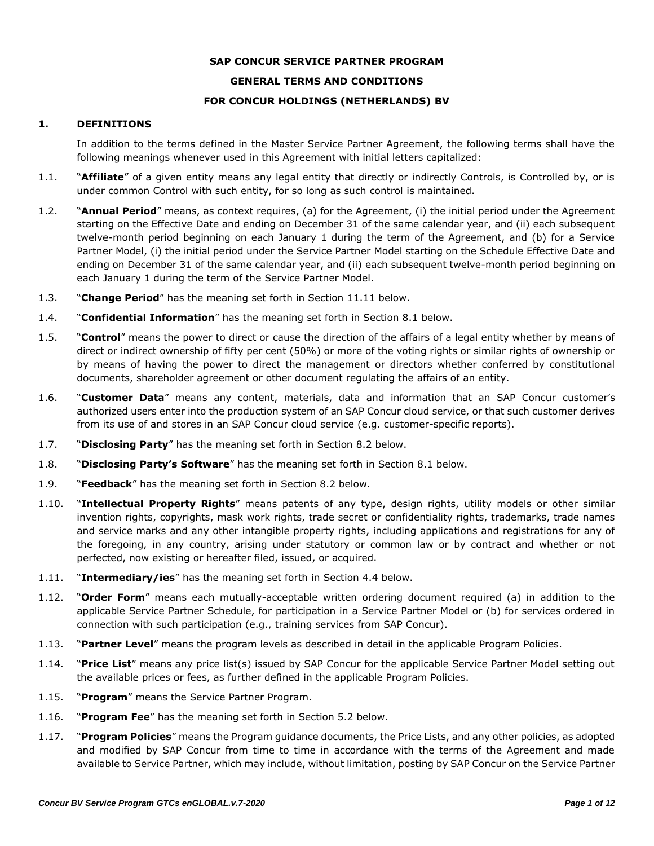#### **SAP CONCUR SERVICE PARTNER PROGRAM**

### **GENERAL TERMS AND CONDITIONS**

#### **FOR CONCUR HOLDINGS (NETHERLANDS) BV**

#### **1. DEFINITIONS**

In addition to the terms defined in the Master Service Partner Agreement, the following terms shall have the following meanings whenever used in this Agreement with initial letters capitalized:

- 1.1. "**Affiliate**" of a given entity means any legal entity that directly or indirectly Controls, is Controlled by, or is under common Control with such entity, for so long as such control is maintained.
- 1.2. "**Annual Period**" means, as context requires, (a) for the Agreement, (i) the initial period under the Agreement starting on the Effective Date and ending on December 31 of the same calendar year, and (ii) each subsequent twelve-month period beginning on each January 1 during the term of the Agreement, and (b) for a Service Partner Model, (i) the initial period under the Service Partner Model starting on the Schedule Effective Date and ending on December 31 of the same calendar year, and (ii) each subsequent twelve-month period beginning on each January 1 during the term of the Service Partner Model.
- 1.3. "**Change Period**" has the meaning set forth in Section 11.11 below.
- 1.4. "**Confidential Information**" has the meaning set forth in Section 8.1 below.
- 1.5. "**Control**" means the power to direct or cause the direction of the affairs of a legal entity whether by means of direct or indirect ownership of fifty per cent (50%) or more of the voting rights or similar rights of ownership or by means of having the power to direct the management or directors whether conferred by constitutional documents, shareholder agreement or other document regulating the affairs of an entity.
- 1.6. "**Customer Data**" means any content, materials, data and information that an SAP Concur customer's authorized users enter into the production system of an SAP Concur cloud service, or that such customer derives from its use of and stores in an SAP Concur cloud service (e.g. customer-specific reports).
- 1.7. "**Disclosing Party**" has the meaning set forth in Section 8.2 below.
- 1.8. "**Disclosing Party's Software**" has the meaning set forth in Section 8.1 below.
- 1.9. "**Feedback**" has the meaning set forth in Section 8.2 below.
- 1.10. "**Intellectual Property Rights**" means patents of any type, design rights, utility models or other similar invention rights, copyrights, mask work rights, trade secret or confidentiality rights, trademarks, trade names and service marks and any other intangible property rights, including applications and registrations for any of the foregoing, in any country, arising under statutory or common law or by contract and whether or not perfected, now existing or hereafter filed, issued, or acquired.
- 1.11. "**Intermediary/ies**" has the meaning set forth in Section 4.4 below.
- 1.12. "**Order Form**" means each mutually-acceptable written ordering document required (a) in addition to the applicable Service Partner Schedule, for participation in a Service Partner Model or (b) for services ordered in connection with such participation (e.g., training services from SAP Concur).
- 1.13. "**Partner Level**" means the program levels as described in detail in the applicable Program Policies.
- 1.14. "**Price List**" means any price list(s) issued by SAP Concur for the applicable Service Partner Model setting out the available prices or fees, as further defined in the applicable Program Policies.
- 1.15. "**Program**" means the Service Partner Program.
- 1.16. "**Program Fee**" has the meaning set forth in Section 5.2 below.
- 1.17. "**Program Policies**" means the Program guidance documents, the Price Lists, and any other policies, as adopted and modified by SAP Concur from time to time in accordance with the terms of the Agreement and made available to Service Partner, which may include, without limitation, posting by SAP Concur on the Service Partner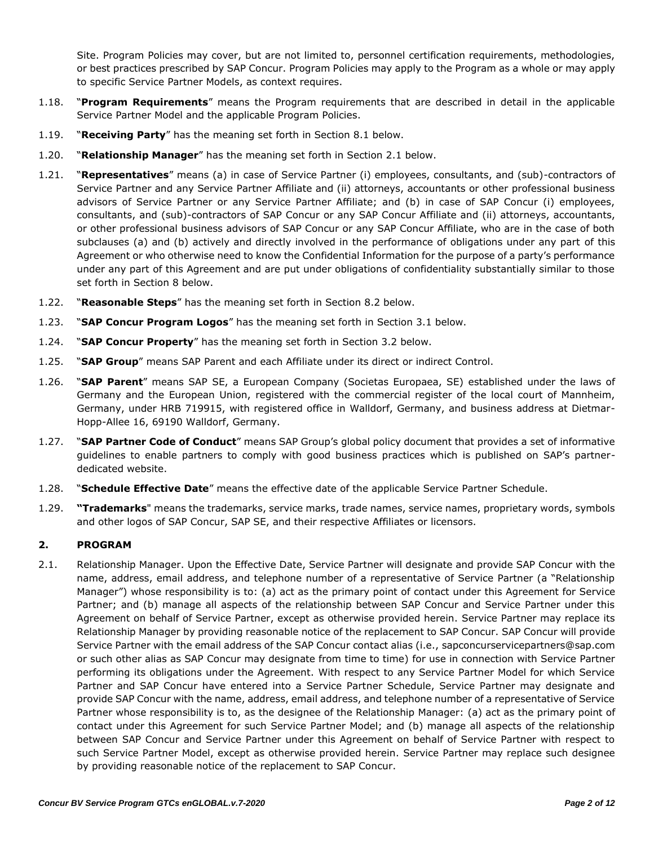Site. Program Policies may cover, but are not limited to, personnel certification requirements, methodologies, or best practices prescribed by SAP Concur. Program Policies may apply to the Program as a whole or may apply to specific Service Partner Models, as context requires.

- 1.18. "**Program Requirements**" means the Program requirements that are described in detail in the applicable Service Partner Model and the applicable Program Policies.
- 1.19. "**Receiving Party**" has the meaning set forth in Section 8.1 below.
- 1.20. "**Relationship Manager**" has the meaning set forth in Section 2.1 below.
- 1.21. "**Representatives**" means (a) in case of Service Partner (i) employees, consultants, and (sub)-contractors of Service Partner and any Service Partner Affiliate and (ii) attorneys, accountants or other professional business advisors of Service Partner or any Service Partner Affiliate; and (b) in case of SAP Concur (i) employees, consultants, and (sub)-contractors of SAP Concur or any SAP Concur Affiliate and (ii) attorneys, accountants, or other professional business advisors of SAP Concur or any SAP Concur Affiliate, who are in the case of both subclauses (a) and (b) actively and directly involved in the performance of obligations under any part of this Agreement or who otherwise need to know the Confidential Information for the purpose of a party's performance under any part of this Agreement and are put under obligations of confidentiality substantially similar to those set forth in Section 8 below.
- 1.22. "**Reasonable Steps**" has the meaning set forth in Section 8.2 below.
- 1.23. "**SAP Concur Program Logos**" has the meaning set forth in Section 3.1 below.
- 1.24. "**SAP Concur Property**" has the meaning set forth in Section 3.2 below.
- 1.25. "**SAP Group**" means SAP Parent and each Affiliate under its direct or indirect Control.
- 1.26. "**SAP Parent**" means SAP SE, a European Company (Societas Europaea, SE) established under the laws of Germany and the European Union, registered with the commercial register of the local court of Mannheim, Germany, under HRB 719915, with registered office in Walldorf, Germany, and business address at Dietmar-Hopp-Allee 16, 69190 Walldorf, Germany.
- 1.27. "**SAP Partner Code of Conduct**" means SAP Group's global policy document that provides a set of informative guidelines to enable partners to comply with good business practices which is published on SAP's partnerdedicated website.
- 1.28. "**Schedule Effective Date**" means the effective date of the applicable Service Partner Schedule.
- 1.29. **"Trademarks**" means the trademarks, service marks, trade names, service names, proprietary words, symbols and other logos of SAP Concur, SAP SE, and their respective Affiliates or licensors.

### **2. PROGRAM**

2.1. Relationship Manager. Upon the Effective Date, Service Partner will designate and provide SAP Concur with the name, address, email address, and telephone number of a representative of Service Partner (a "Relationship Manager") whose responsibility is to: (a) act as the primary point of contact under this Agreement for Service Partner; and (b) manage all aspects of the relationship between SAP Concur and Service Partner under this Agreement on behalf of Service Partner, except as otherwise provided herein. Service Partner may replace its Relationship Manager by providing reasonable notice of the replacement to SAP Concur. SAP Concur will provide Service Partner with the email address of the SAP Concur contact alias (i.e., [sapconcurservicepartners@sap.com](mailto:sapconcurservicepartners@sap.com) or such other alias as SAP Concur may designate from time to time) for use in connection with Service Partner performing its obligations under the Agreement. With respect to any Service Partner Model for which Service Partner and SAP Concur have entered into a Service Partner Schedule, Service Partner may designate and provide SAP Concur with the name, address, email address, and telephone number of a representative of Service Partner whose responsibility is to, as the designee of the Relationship Manager: (a) act as the primary point of contact under this Agreement for such Service Partner Model; and (b) manage all aspects of the relationship between SAP Concur and Service Partner under this Agreement on behalf of Service Partner with respect to such Service Partner Model, except as otherwise provided herein. Service Partner may replace such designee by providing reasonable notice of the replacement to SAP Concur.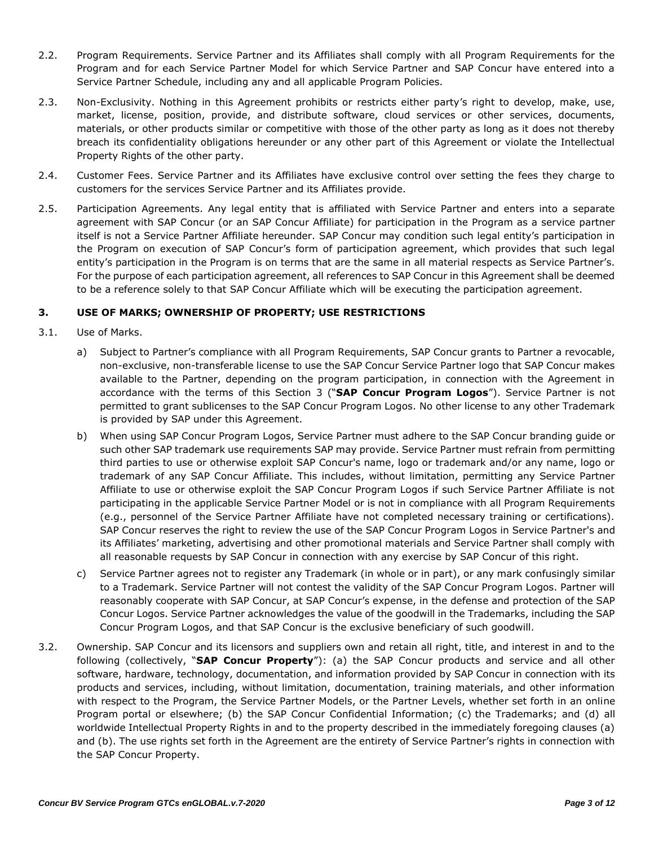- 2.2. Program Requirements. Service Partner and its Affiliates shall comply with all Program Requirements for the Program and for each Service Partner Model for which Service Partner and SAP Concur have entered into a Service Partner Schedule, including any and all applicable Program Policies.
- 2.3. Non-Exclusivity. Nothing in this Agreement prohibits or restricts either party's right to develop, make, use, market, license, position, provide, and distribute software, cloud services or other services, documents, materials, or other products similar or competitive with those of the other party as long as it does not thereby breach its confidentiality obligations hereunder or any other part of this Agreement or violate the Intellectual Property Rights of the other party.
- 2.4. Customer Fees. Service Partner and its Affiliates have exclusive control over setting the fees they charge to customers for the services Service Partner and its Affiliates provide.
- 2.5. Participation Agreements. Any legal entity that is affiliated with Service Partner and enters into a separate agreement with SAP Concur (or an SAP Concur Affiliate) for participation in the Program as a service partner itself is not a Service Partner Affiliate hereunder. SAP Concur may condition such legal entity's participation in the Program on execution of SAP Concur's form of participation agreement, which provides that such legal entity's participation in the Program is on terms that are the same in all material respects as Service Partner's. For the purpose of each participation agreement, all references to SAP Concur in this Agreement shall be deemed to be a reference solely to that SAP Concur Affiliate which will be executing the participation agreement.

## **3. USE OF MARKS; OWNERSHIP OF PROPERTY; USE RESTRICTIONS**

- 3.1. Use of Marks.
	- a) Subject to Partner's compliance with all Program Requirements, SAP Concur grants to Partner a revocable, non-exclusive, non-transferable license to use the SAP Concur Service Partner logo that SAP Concur makes available to the Partner, depending on the program participation, in connection with the Agreement in accordance with the terms of this Section 3 ("**SAP Concur Program Logos**"). Service Partner is not permitted to grant sublicenses to the SAP Concur Program Logos. No other license to any other Trademark is provided by SAP under this Agreement.
	- b) When using SAP Concur Program Logos, Service Partner must adhere to the SAP Concur branding guide or such other SAP trademark use requirements SAP may provide. Service Partner must refrain from permitting third parties to use or otherwise exploit SAP Concur's name, logo or trademark and/or any name, logo or trademark of any SAP Concur Affiliate. This includes, without limitation, permitting any Service Partner Affiliate to use or otherwise exploit the SAP Concur Program Logos if such Service Partner Affiliate is not participating in the applicable Service Partner Model or is not in compliance with all Program Requirements (e.g., personnel of the Service Partner Affiliate have not completed necessary training or certifications). SAP Concur reserves the right to review the use of the SAP Concur Program Logos in Service Partner's and its Affiliates' marketing, advertising and other promotional materials and Service Partner shall comply with all reasonable requests by SAP Concur in connection with any exercise by SAP Concur of this right.
	- c) Service Partner agrees not to register any Trademark (in whole or in part), or any mark confusingly similar to a Trademark. Service Partner will not contest the validity of the SAP Concur Program Logos. Partner will reasonably cooperate with SAP Concur, at SAP Concur's expense, in the defense and protection of the SAP Concur Logos. Service Partner acknowledges the value of the goodwill in the Trademarks, including the SAP Concur Program Logos, and that SAP Concur is the exclusive beneficiary of such goodwill.
- 3.2. Ownership. SAP Concur and its licensors and suppliers own and retain all right, title, and interest in and to the following (collectively, "**SAP Concur Property**"): (a) the SAP Concur products and service and all other software, hardware, technology, documentation, and information provided by SAP Concur in connection with its products and services, including, without limitation, documentation, training materials, and other information with respect to the Program, the Service Partner Models, or the Partner Levels, whether set forth in an online Program portal or elsewhere; (b) the SAP Concur Confidential Information; (c) the Trademarks; and (d) all worldwide Intellectual Property Rights in and to the property described in the immediately foregoing clauses (a) and (b). The use rights set forth in the Agreement are the entirety of Service Partner's rights in connection with the SAP Concur Property.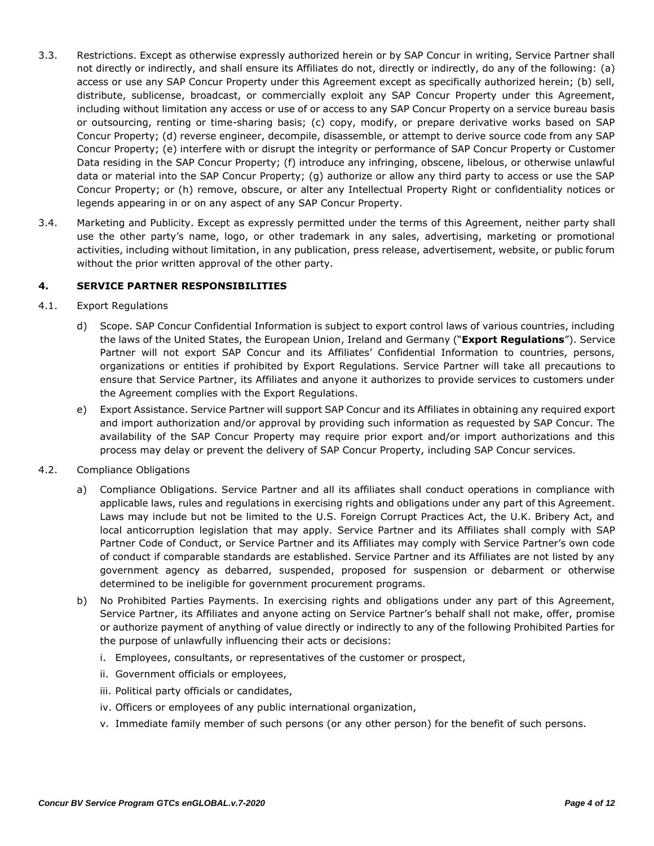- 3.3. Restrictions. Except as otherwise expressly authorized herein or by SAP Concur in writing, Service Partner shall not directly or indirectly, and shall ensure its Affiliates do not, directly or indirectly, do any of the following: (a) access or use any SAP Concur Property under this Agreement except as specifically authorized herein; (b) sell, distribute, sublicense, broadcast, or commercially exploit any SAP Concur Property under this Agreement, including without limitation any access or use of or access to any SAP Concur Property on a service bureau basis or outsourcing, renting or time-sharing basis; (c) copy, modify, or prepare derivative works based on SAP Concur Property; (d) reverse engineer, decompile, disassemble, or attempt to derive source code from any SAP Concur Property; (e) interfere with or disrupt the integrity or performance of SAP Concur Property or Customer Data residing in the SAP Concur Property; (f) introduce any infringing, obscene, libelous, or otherwise unlawful data or material into the SAP Concur Property; (g) authorize or allow any third party to access or use the SAP Concur Property; or (h) remove, obscure, or alter any Intellectual Property Right or confidentiality notices or legends appearing in or on any aspect of any SAP Concur Property.
- 3.4. Marketing and Publicity. Except as expressly permitted under the terms of this Agreement, neither party shall use the other party's name, logo, or other trademark in any sales, advertising, marketing or promotional activities, including without limitation, in any publication, press release, advertisement, website, or public forum without the prior written approval of the other party.

### **4. SERVICE PARTNER RESPONSIBILITIES**

### 4.1. Export Regulations

- d) Scope. SAP Concur Confidential Information is subject to export control laws of various countries, including the laws of the United States, the European Union, Ireland and Germany ("**Export Regulations**"). Service Partner will not export SAP Concur and its Affiliates' Confidential Information to countries, persons, organizations or entities if prohibited by Export Regulations. Service Partner will take all precautions to ensure that Service Partner, its Affiliates and anyone it authorizes to provide services to customers under the Agreement complies with the Export Regulations.
- e) Export Assistance. Service Partner will support SAP Concur and its Affiliates in obtaining any required export and import authorization and/or approval by providing such information as requested by SAP Concur. The availability of the SAP Concur Property may require prior export and/or import authorizations and this process may delay or prevent the delivery of SAP Concur Property, including SAP Concur services.
- 4.2. Compliance Obligations
	- a) Compliance Obligations. Service Partner and all its affiliates shall conduct operations in compliance with applicable laws, rules and regulations in exercising rights and obligations under any part of this Agreement. Laws may include but not be limited to the U.S. Foreign Corrupt Practices Act, the U.K. Bribery Act, and local anticorruption legislation that may apply. Service Partner and its Affiliates shall comply with SAP Partner Code of Conduct, or Service Partner and its Affiliates may comply with Service Partner's own code of conduct if comparable standards are established. Service Partner and its Affiliates are not listed by any government agency as debarred, suspended, proposed for suspension or debarment or otherwise determined to be ineligible for government procurement programs.
	- b) No Prohibited Parties Payments. In exercising rights and obligations under any part of this Agreement, Service Partner, its Affiliates and anyone acting on Service Partner's behalf shall not make, offer, promise or authorize payment of anything of value directly or indirectly to any of the following Prohibited Parties for the purpose of unlawfully influencing their acts or decisions:
		- i. Employees, consultants, or representatives of the customer or prospect,
		- ii. Government officials or employees,
		- iii. Political party officials or candidates,
		- iv. Officers or employees of any public international organization,
		- v. Immediate family member of such persons (or any other person) for the benefit of such persons.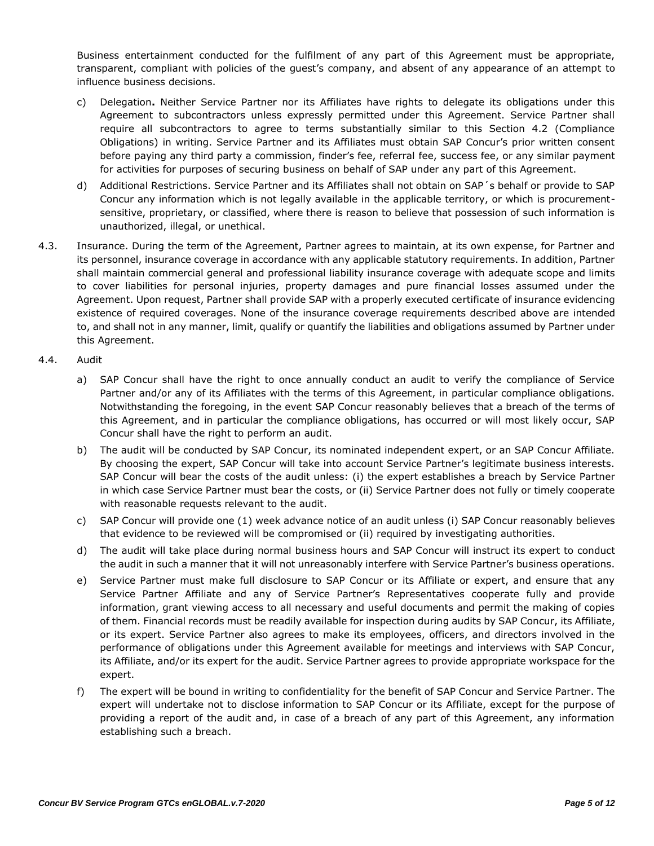Business entertainment conducted for the fulfilment of any part of this Agreement must be appropriate, transparent, compliant with policies of the guest's company, and absent of any appearance of an attempt to influence business decisions.

- c) Delegation**.** Neither Service Partner nor its Affiliates have rights to delegate its obligations under this Agreement to subcontractors unless expressly permitted under this Agreement. Service Partner shall require all subcontractors to agree to terms substantially similar to this Section 4.2 (Compliance Obligations) in writing. Service Partner and its Affiliates must obtain SAP Concur's prior written consent before paying any third party a commission, finder's fee, referral fee, success fee, or any similar payment for activities for purposes of securing business on behalf of SAP under any part of this Agreement.
- d) Additional Restrictions. Service Partner and its Affiliates shall not obtain on SAP´s behalf or provide to SAP Concur any information which is not legally available in the applicable territory, or which is procurementsensitive, proprietary, or classified, where there is reason to believe that possession of such information is unauthorized, illegal, or unethical.
- 4.3. Insurance. During the term of the Agreement, Partner agrees to maintain, at its own expense, for Partner and its personnel, insurance coverage in accordance with any applicable statutory requirements. In addition, Partner shall maintain commercial general and professional liability insurance coverage with adequate scope and limits to cover liabilities for personal injuries, property damages and pure financial losses assumed under the Agreement. Upon request, Partner shall provide SAP with a properly executed certificate of insurance evidencing existence of required coverages. None of the insurance coverage requirements described above are intended to, and shall not in any manner, limit, qualify or quantify the liabilities and obligations assumed by Partner under this Agreement.
- 4.4. Audit
	- a) SAP Concur shall have the right to once annually conduct an audit to verify the compliance of Service Partner and/or any of its Affiliates with the terms of this Agreement, in particular compliance obligations. Notwithstanding the foregoing, in the event SAP Concur reasonably believes that a breach of the terms of this Agreement, and in particular the compliance obligations, has occurred or will most likely occur, SAP Concur shall have the right to perform an audit.
	- b) The audit will be conducted by SAP Concur, its nominated independent expert, or an SAP Concur Affiliate. By choosing the expert, SAP Concur will take into account Service Partner's legitimate business interests. SAP Concur will bear the costs of the audit unless: (i) the expert establishes a breach by Service Partner in which case Service Partner must bear the costs, or (ii) Service Partner does not fully or timely cooperate with reasonable requests relevant to the audit.
	- c) SAP Concur will provide one (1) week advance notice of an audit unless (i) SAP Concur reasonably believes that evidence to be reviewed will be compromised or (ii) required by investigating authorities.
	- d) The audit will take place during normal business hours and SAP Concur will instruct its expert to conduct the audit in such a manner that it will not unreasonably interfere with Service Partner's business operations.
	- e) Service Partner must make full disclosure to SAP Concur or its Affiliate or expert, and ensure that any Service Partner Affiliate and any of Service Partner's Representatives cooperate fully and provide information, grant viewing access to all necessary and useful documents and permit the making of copies of them. Financial records must be readily available for inspection during audits by SAP Concur, its Affiliate, or its expert. Service Partner also agrees to make its employees, officers, and directors involved in the performance of obligations under this Agreement available for meetings and interviews with SAP Concur, its Affiliate, and/or its expert for the audit. Service Partner agrees to provide appropriate workspace for the expert.
	- f) The expert will be bound in writing to confidentiality for the benefit of SAP Concur and Service Partner. The expert will undertake not to disclose information to SAP Concur or its Affiliate, except for the purpose of providing a report of the audit and, in case of a breach of any part of this Agreement, any information establishing such a breach.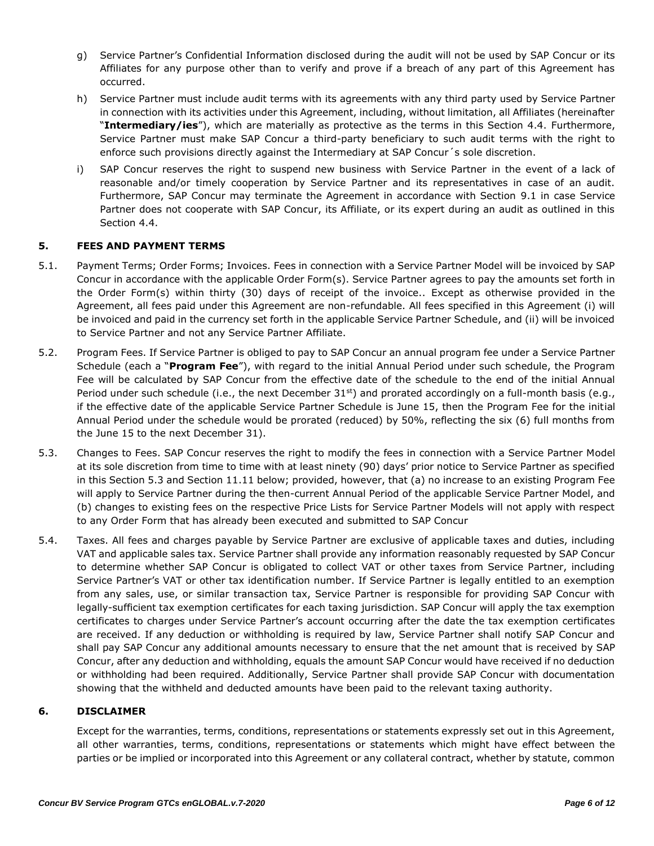- g) Service Partner's Confidential Information disclosed during the audit will not be used by SAP Concur or its Affiliates for any purpose other than to verify and prove if a breach of any part of this Agreement has occurred.
- h) Service Partner must include audit terms with its agreements with any third party used by Service Partner in connection with its activities under this Agreement, including, without limitation, all Affiliates (hereinafter "**Intermediary/ies**"), which are materially as protective as the terms in this Section 4.4. Furthermore, Service Partner must make SAP Concur a third-party beneficiary to such audit terms with the right to enforce such provisions directly against the Intermediary at SAP Concur´s sole discretion.
- i) SAP Concur reserves the right to suspend new business with Service Partner in the event of a lack of reasonable and/or timely cooperation by Service Partner and its representatives in case of an audit. Furthermore, SAP Concur may terminate the Agreement in accordance with Section 9.1 in case Service Partner does not cooperate with SAP Concur, its Affiliate, or its expert during an audit as outlined in this Section 4.4.

## **5. FEES AND PAYMENT TERMS**

- 5.1. Payment Terms; Order Forms; Invoices. Fees in connection with a Service Partner Model will be invoiced by SAP Concur in accordance with the applicable Order Form(s). Service Partner agrees to pay the amounts set forth in the Order Form(s) within thirty (30) days of receipt of the invoice.. Except as otherwise provided in the Agreement, all fees paid under this Agreement are non-refundable. All fees specified in this Agreement (i) will be invoiced and paid in the currency set forth in the applicable Service Partner Schedule, and (ii) will be invoiced to Service Partner and not any Service Partner Affiliate.
- 5.2. Program Fees. If Service Partner is obliged to pay to SAP Concur an annual program fee under a Service Partner Schedule (each a "**Program Fee**"), with regard to the initial Annual Period under such schedule, the Program Fee will be calculated by SAP Concur from the effective date of the schedule to the end of the initial Annual Period under such schedule (i.e., the next December  $31^{st}$ ) and prorated accordingly on a full-month basis (e.g., if the effective date of the applicable Service Partner Schedule is June 15, then the Program Fee for the initial Annual Period under the schedule would be prorated (reduced) by 50%, reflecting the six (6) full months from the June 15 to the next December 31).
- 5.3. Changes to Fees. SAP Concur reserves the right to modify the fees in connection with a Service Partner Model at its sole discretion from time to time with at least ninety (90) days' prior notice to Service Partner as specified in this Section 5.3 and Section 11.11 below; provided, however, that (a) no increase to an existing Program Fee will apply to Service Partner during the then-current Annual Period of the applicable Service Partner Model, and (b) changes to existing fees on the respective Price Lists for Service Partner Models will not apply with respect to any Order Form that has already been executed and submitted to SAP Concur
- 5.4. Taxes. All fees and charges payable by Service Partner are exclusive of applicable taxes and duties, including VAT and applicable sales tax. Service Partner shall provide any information reasonably requested by SAP Concur to determine whether SAP Concur is obligated to collect VAT or other taxes from Service Partner, including Service Partner's VAT or other tax identification number. If Service Partner is legally entitled to an exemption from any sales, use, or similar transaction tax, Service Partner is responsible for providing SAP Concur with legally-sufficient tax exemption certificates for each taxing jurisdiction. SAP Concur will apply the tax exemption certificates to charges under Service Partner's account occurring after the date the tax exemption certificates are received. If any deduction or withholding is required by law, Service Partner shall notify SAP Concur and shall pay SAP Concur any additional amounts necessary to ensure that the net amount that is received by SAP Concur, after any deduction and withholding, equals the amount SAP Concur would have received if no deduction or withholding had been required. Additionally, Service Partner shall provide SAP Concur with documentation showing that the withheld and deducted amounts have been paid to the relevant taxing authority.

### **6. DISCLAIMER**

Except for the warranties, terms, conditions, representations or statements expressly set out in this Agreement, all other warranties, terms, conditions, representations or statements which might have effect between the parties or be implied or incorporated into this Agreement or any collateral contract, whether by statute, common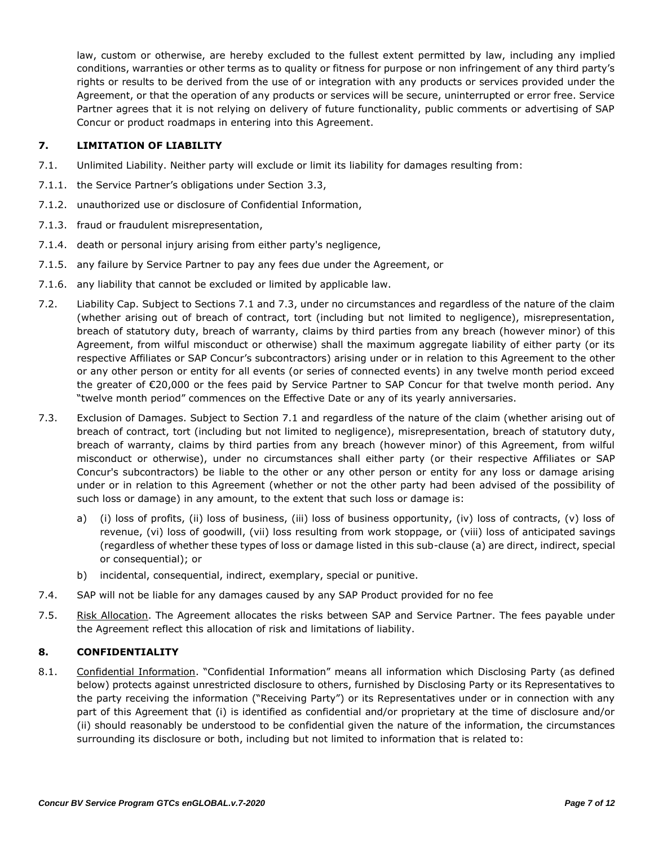law, custom or otherwise, are hereby excluded to the fullest extent permitted by law, including any implied conditions, warranties or other terms as to quality or fitness for purpose or non infringement of any third party's rights or results to be derived from the use of or integration with any products or services provided under the Agreement, or that the operation of any products or services will be secure, uninterrupted or error free. Service Partner agrees that it is not relying on delivery of future functionality, public comments or advertising of SAP Concur or product roadmaps in entering into this Agreement.

## **7. LIMITATION OF LIABILITY**

- 7.1. Unlimited Liability. Neither party will exclude or limit its liability for damages resulting from:
- 7.1.1. the Service Partner's obligations under Section 3.3,
- 7.1.2. unauthorized use or disclosure of Confidential Information,
- 7.1.3. fraud or fraudulent misrepresentation,
- 7.1.4. death or personal injury arising from either party's negligence,
- 7.1.5. any failure by Service Partner to pay any fees due under the Agreement, or
- 7.1.6. any liability that cannot be excluded or limited by applicable law.
- 7.2. Liability Cap. Subject to Sections 7.1 and 7.3, under no circumstances and regardless of the nature of the claim (whether arising out of breach of contract, tort (including but not limited to negligence), misrepresentation, breach of statutory duty, breach of warranty, claims by third parties from any breach (however minor) of this Agreement, from wilful misconduct or otherwise) shall the maximum aggregate liability of either party (or its respective Affiliates or SAP Concur's subcontractors) arising under or in relation to this Agreement to the other or any other person or entity for all events (or series of connected events) in any twelve month period exceed the greater of €20,000 or the fees paid by Service Partner to SAP Concur for that twelve month period. Any "twelve month period" commences on the Effective Date or any of its yearly anniversaries.
- 7.3. Exclusion of Damages. Subject to Section 7.1 and regardless of the nature of the claim (whether arising out of breach of contract, tort (including but not limited to negligence), misrepresentation, breach of statutory duty, breach of warranty, claims by third parties from any breach (however minor) of this Agreement, from wilful misconduct or otherwise), under no circumstances shall either party (or their respective Affiliates or SAP Concur's subcontractors) be liable to the other or any other person or entity for any loss or damage arising under or in relation to this Agreement (whether or not the other party had been advised of the possibility of such loss or damage) in any amount, to the extent that such loss or damage is:
	- a) (i) loss of profits, (ii) loss of business, (iii) loss of business opportunity, (iv) loss of contracts, (v) loss of revenue, (vi) loss of goodwill, (vii) loss resulting from work stoppage, or (viii) loss of anticipated savings (regardless of whether these types of loss or damage listed in this sub-clause (a) are direct, indirect, special or consequential); or
	- b) incidental, consequential, indirect, exemplary, special or punitive.
- 7.4. SAP will not be liable for any damages caused by any SAP Product provided for no fee
- 7.5. Risk Allocation. The Agreement allocates the risks between SAP and Service Partner. The fees payable under the Agreement reflect this allocation of risk and limitations of liability.

### **8. CONFIDENTIALITY**

8.1. Confidential Information. "Confidential Information" means all information which Disclosing Party (as defined below) protects against unrestricted disclosure to others, furnished by Disclosing Party or its Representatives to the party receiving the information ("Receiving Party") or its Representatives under or in connection with any part of this Agreement that (i) is identified as confidential and/or proprietary at the time of disclosure and/or (ii) should reasonably be understood to be confidential given the nature of the information, the circumstances surrounding its disclosure or both, including but not limited to information that is related to: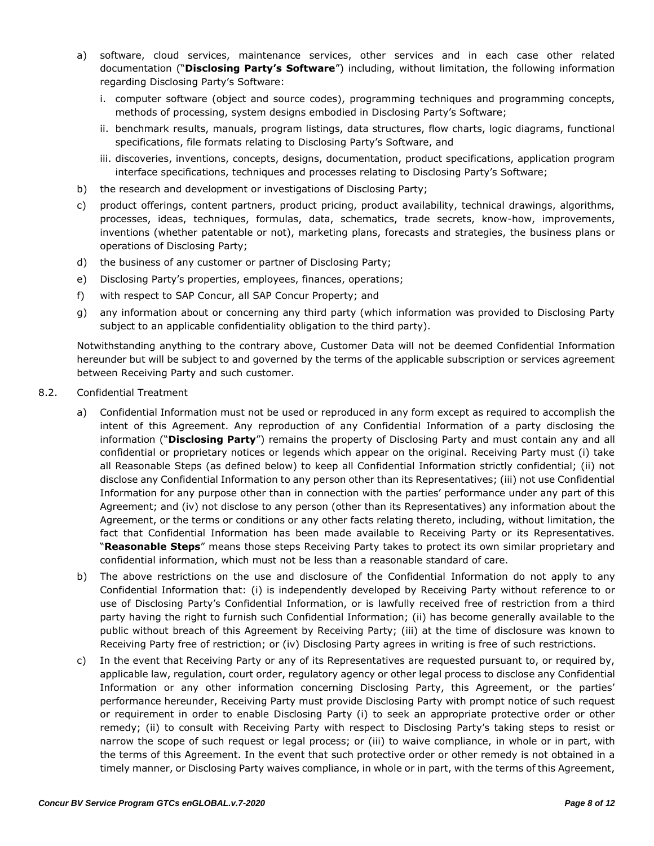- a) software, cloud services, maintenance services, other services and in each case other related documentation ("**Disclosing Party's Software**") including, without limitation, the following information regarding Disclosing Party's Software:
	- i. computer software (object and source codes), programming techniques and programming concepts, methods of processing, system designs embodied in Disclosing Party's Software;
	- ii. benchmark results, manuals, program listings, data structures, flow charts, logic diagrams, functional specifications, file formats relating to Disclosing Party's Software, and
	- iii. discoveries, inventions, concepts, designs, documentation, product specifications, application program interface specifications, techniques and processes relating to Disclosing Party's Software;
- b) the research and development or investigations of Disclosing Party;
- c) product offerings, content partners, product pricing, product availability, technical drawings, algorithms, processes, ideas, techniques, formulas, data, schematics, trade secrets, know-how, improvements, inventions (whether patentable or not), marketing plans, forecasts and strategies, the business plans or operations of Disclosing Party;
- d) the business of any customer or partner of Disclosing Party;
- e) Disclosing Party's properties, employees, finances, operations;
- f) with respect to SAP Concur, all SAP Concur Property; and
- g) any information about or concerning any third party (which information was provided to Disclosing Party subject to an applicable confidentiality obligation to the third party).

Notwithstanding anything to the contrary above, Customer Data will not be deemed Confidential Information hereunder but will be subject to and governed by the terms of the applicable subscription or services agreement between Receiving Party and such customer.

- 8.2. Confidential Treatment
	- a) Confidential Information must not be used or reproduced in any form except as required to accomplish the intent of this Agreement. Any reproduction of any Confidential Information of a party disclosing the information ("**Disclosing Party**") remains the property of Disclosing Party and must contain any and all confidential or proprietary notices or legends which appear on the original. Receiving Party must (i) take all Reasonable Steps (as defined below) to keep all Confidential Information strictly confidential; (ii) not disclose any Confidential Information to any person other than its Representatives; (iii) not use Confidential Information for any purpose other than in connection with the parties' performance under any part of this Agreement; and (iv) not disclose to any person (other than its Representatives) any information about the Agreement, or the terms or conditions or any other facts relating thereto, including, without limitation, the fact that Confidential Information has been made available to Receiving Party or its Representatives. "**Reasonable Steps**" means those steps Receiving Party takes to protect its own similar proprietary and confidential information, which must not be less than a reasonable standard of care.
	- b) The above restrictions on the use and disclosure of the Confidential Information do not apply to any Confidential Information that: (i) is independently developed by Receiving Party without reference to or use of Disclosing Party's Confidential Information, or is lawfully received free of restriction from a third party having the right to furnish such Confidential Information; (ii) has become generally available to the public without breach of this Agreement by Receiving Party; (iii) at the time of disclosure was known to Receiving Party free of restriction; or (iv) Disclosing Party agrees in writing is free of such restrictions.
	- c) In the event that Receiving Party or any of its Representatives are requested pursuant to, or required by, applicable law, regulation, court order, regulatory agency or other legal process to disclose any Confidential Information or any other information concerning Disclosing Party, this Agreement, or the parties' performance hereunder, Receiving Party must provide Disclosing Party with prompt notice of such request or requirement in order to enable Disclosing Party (i) to seek an appropriate protective order or other remedy; (ii) to consult with Receiving Party with respect to Disclosing Party's taking steps to resist or narrow the scope of such request or legal process; or (iii) to waive compliance, in whole or in part, with the terms of this Agreement. In the event that such protective order or other remedy is not obtained in a timely manner, or Disclosing Party waives compliance, in whole or in part, with the terms of this Agreement,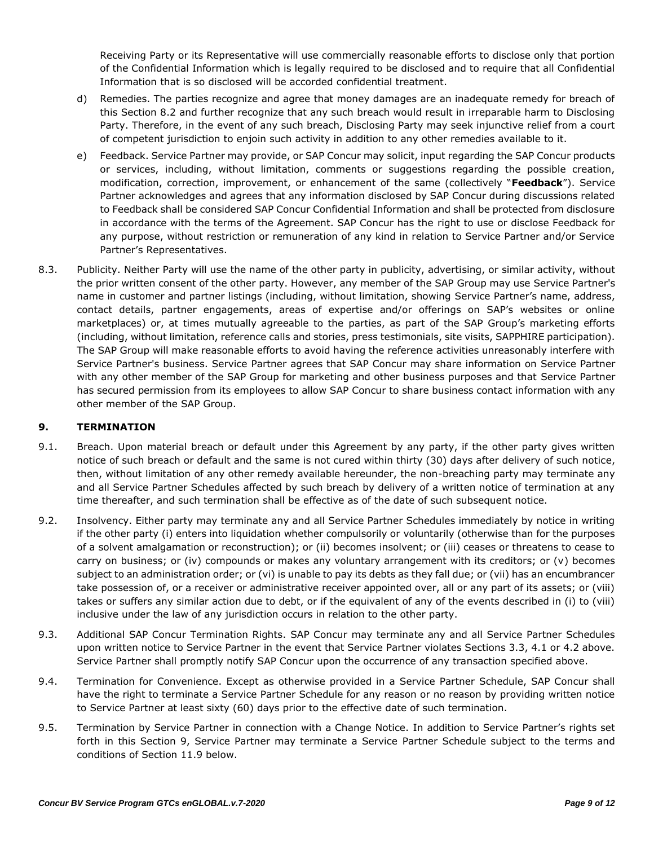Receiving Party or its Representative will use commercially reasonable efforts to disclose only that portion of the Confidential Information which is legally required to be disclosed and to require that all Confidential Information that is so disclosed will be accorded confidential treatment.

- d) Remedies. The parties recognize and agree that money damages are an inadequate remedy for breach of this Section 8.2 and further recognize that any such breach would result in irreparable harm to Disclosing Party. Therefore, in the event of any such breach, Disclosing Party may seek injunctive relief from a court of competent jurisdiction to enjoin such activity in addition to any other remedies available to it.
- e) Feedback. Service Partner may provide, or SAP Concur may solicit, input regarding the SAP Concur products or services, including, without limitation, comments or suggestions regarding the possible creation, modification, correction, improvement, or enhancement of the same (collectively "**Feedback**"). Service Partner acknowledges and agrees that any information disclosed by SAP Concur during discussions related to Feedback shall be considered SAP Concur Confidential Information and shall be protected from disclosure in accordance with the terms of the Agreement. SAP Concur has the right to use or disclose Feedback for any purpose, without restriction or remuneration of any kind in relation to Service Partner and/or Service Partner's Representatives.
- 8.3. Publicity. Neither Party will use the name of the other party in publicity, advertising, or similar activity, without the prior written consent of the other party. However, any member of the SAP Group may use Service Partner's name in customer and partner listings (including, without limitation, showing Service Partner's name, address, contact details, partner engagements, areas of expertise and/or offerings on SAP's websites or online marketplaces) or, at times mutually agreeable to the parties, as part of the SAP Group's marketing efforts (including, without limitation, reference calls and stories, press testimonials, site visits, SAPPHIRE participation). The SAP Group will make reasonable efforts to avoid having the reference activities unreasonably interfere with Service Partner's business. Service Partner agrees that SAP Concur may share information on Service Partner with any other member of the SAP Group for marketing and other business purposes and that Service Partner has secured permission from its employees to allow SAP Concur to share business contact information with any other member of the SAP Group.

### **9. TERMINATION**

- 9.1. Breach. Upon material breach or default under this Agreement by any party, if the other party gives written notice of such breach or default and the same is not cured within thirty (30) days after delivery of such notice, then, without limitation of any other remedy available hereunder, the non-breaching party may terminate any and all Service Partner Schedules affected by such breach by delivery of a written notice of termination at any time thereafter, and such termination shall be effective as of the date of such subsequent notice.
- 9.2. Insolvency. Either party may terminate any and all Service Partner Schedules immediately by notice in writing if the other party (i) enters into liquidation whether compulsorily or voluntarily (otherwise than for the purposes of a solvent amalgamation or reconstruction); or (ii) becomes insolvent; or (iii) ceases or threatens to cease to carry on business; or (iv) compounds or makes any voluntary arrangement with its creditors; or (v) becomes subject to an administration order; or (vi) is unable to pay its debts as they fall due; or (vii) has an encumbrancer take possession of, or a receiver or administrative receiver appointed over, all or any part of its assets; or (viii) takes or suffers any similar action due to debt, or if the equivalent of any of the events described in (i) to (viii) inclusive under the law of any jurisdiction occurs in relation to the other party.
- 9.3. Additional SAP Concur Termination Rights. SAP Concur may terminate any and all Service Partner Schedules upon written notice to Service Partner in the event that Service Partner violates Sections 3.3, 4.1 or 4.2 above. Service Partner shall promptly notify SAP Concur upon the occurrence of any transaction specified above.
- 9.4. Termination for Convenience. Except as otherwise provided in a Service Partner Schedule, SAP Concur shall have the right to terminate a Service Partner Schedule for any reason or no reason by providing written notice to Service Partner at least sixty (60) days prior to the effective date of such termination.
- 9.5. Termination by Service Partner in connection with a Change Notice. In addition to Service Partner's rights set forth in this Section 9, Service Partner may terminate a Service Partner Schedule subject to the terms and conditions of Section 11.9 below.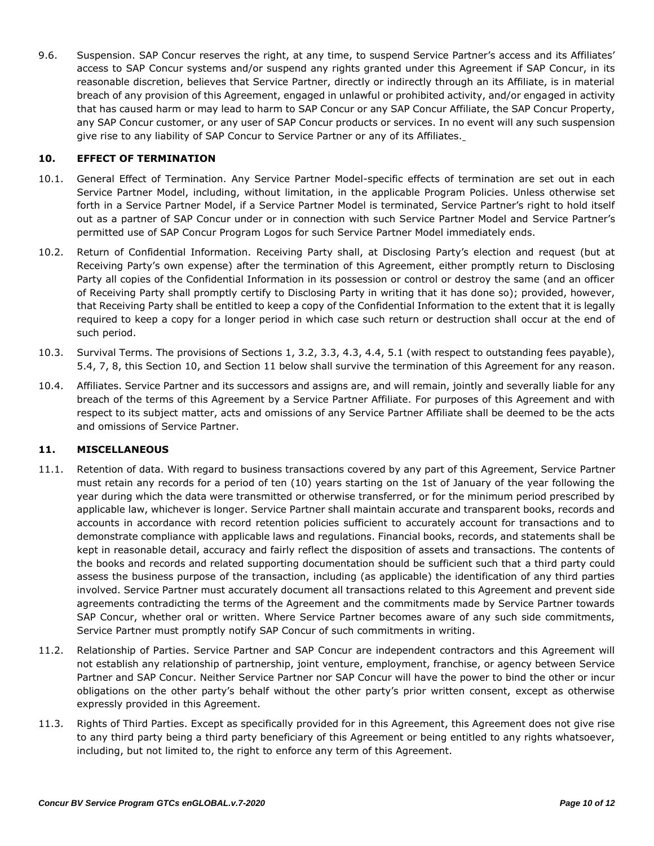9.6. Suspension. SAP Concur reserves the right, at any time, to suspend Service Partner's access and its Affiliates' access to SAP Concur systems and/or suspend any rights granted under this Agreement if SAP Concur, in its reasonable discretion, believes that Service Partner, directly or indirectly through an its Affiliate, is in material breach of any provision of this Agreement, engaged in unlawful or prohibited activity, and/or engaged in activity that has caused harm or may lead to harm to SAP Concur or any SAP Concur Affiliate, the SAP Concur Property, any SAP Concur customer, or any user of SAP Concur products or services. In no event will any such suspension give rise to any liability of SAP Concur to Service Partner or any of its Affiliates.

# **10. EFFECT OF TERMINATION**

- 10.1. General Effect of Termination. Any Service Partner Model-specific effects of termination are set out in each Service Partner Model, including, without limitation, in the applicable Program Policies. Unless otherwise set forth in a Service Partner Model, if a Service Partner Model is terminated, Service Partner's right to hold itself out as a partner of SAP Concur under or in connection with such Service Partner Model and Service Partner's permitted use of SAP Concur Program Logos for such Service Partner Model immediately ends.
- 10.2. Return of Confidential Information. Receiving Party shall, at Disclosing Party's election and request (but at Receiving Party's own expense) after the termination of this Agreement, either promptly return to Disclosing Party all copies of the Confidential Information in its possession or control or destroy the same (and an officer of Receiving Party shall promptly certify to Disclosing Party in writing that it has done so); provided, however, that Receiving Party shall be entitled to keep a copy of the Confidential Information to the extent that it is legally required to keep a copy for a longer period in which case such return or destruction shall occur at the end of such period.
- 10.3. Survival Terms. The provisions of Sections 1, 3.2, 3.3, 4.3, 4.4, 5.1 (with respect to outstanding fees payable), 5.4, 7, 8, this Section 10, and Section 11 below shall survive the termination of this Agreement for any reason.
- 10.4. Affiliates. Service Partner and its successors and assigns are, and will remain, jointly and severally liable for any breach of the terms of this Agreement by a Service Partner Affiliate. For purposes of this Agreement and with respect to its subject matter, acts and omissions of any Service Partner Affiliate shall be deemed to be the acts and omissions of Service Partner.

### **11. MISCELLANEOUS**

- 11.1. Retention of data. With regard to business transactions covered by any part of this Agreement, Service Partner must retain any records for a period of ten (10) years starting on the 1st of January of the year following the year during which the data were transmitted or otherwise transferred, or for the minimum period prescribed by applicable law, whichever is longer. Service Partner shall maintain accurate and transparent books, records and accounts in accordance with record retention policies sufficient to accurately account for transactions and to demonstrate compliance with applicable laws and regulations. Financial books, records, and statements shall be kept in reasonable detail, accuracy and fairly reflect the disposition of assets and transactions. The contents of the books and records and related supporting documentation should be sufficient such that a third party could assess the business purpose of the transaction, including (as applicable) the identification of any third parties involved. Service Partner must accurately document all transactions related to this Agreement and prevent side agreements contradicting the terms of the Agreement and the commitments made by Service Partner towards SAP Concur, whether oral or written. Where Service Partner becomes aware of any such side commitments, Service Partner must promptly notify SAP Concur of such commitments in writing.
- 11.2. Relationship of Parties. Service Partner and SAP Concur are independent contractors and this Agreement will not establish any relationship of partnership, joint venture, employment, franchise, or agency between Service Partner and SAP Concur. Neither Service Partner nor SAP Concur will have the power to bind the other or incur obligations on the other party's behalf without the other party's prior written consent, except as otherwise expressly provided in this Agreement.
- 11.3. Rights of Third Parties. Except as specifically provided for in this Agreement, this Agreement does not give rise to any third party being a third party beneficiary of this Agreement or being entitled to any rights whatsoever, including, but not limited to, the right to enforce any term of this Agreement.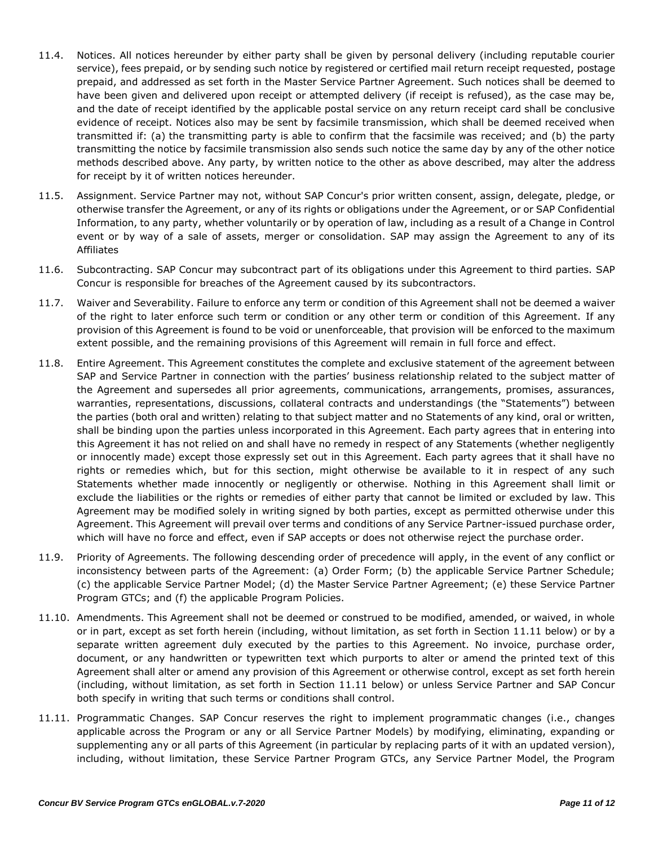- 11.4. Notices. All notices hereunder by either party shall be given by personal delivery (including reputable courier service), fees prepaid, or by sending such notice by registered or certified mail return receipt requested, postage prepaid, and addressed as set forth in the Master Service Partner Agreement. Such notices shall be deemed to have been given and delivered upon receipt or attempted delivery (if receipt is refused), as the case may be, and the date of receipt identified by the applicable postal service on any return receipt card shall be conclusive evidence of receipt. Notices also may be sent by facsimile transmission, which shall be deemed received when transmitted if: (a) the transmitting party is able to confirm that the facsimile was received; and (b) the party transmitting the notice by facsimile transmission also sends such notice the same day by any of the other notice methods described above. Any party, by written notice to the other as above described, may alter the address for receipt by it of written notices hereunder.
- 11.5. Assignment. Service Partner may not, without SAP Concur's prior written consent, assign, delegate, pledge, or otherwise transfer the Agreement, or any of its rights or obligations under the Agreement, or or SAP Confidential Information, to any party, whether voluntarily or by operation of law, including as a result of a Change in Control event or by way of a sale of assets, merger or consolidation. SAP may assign the Agreement to any of its Affiliates
- 11.6. Subcontracting. SAP Concur may subcontract part of its obligations under this Agreement to third parties. SAP Concur is responsible for breaches of the Agreement caused by its subcontractors.
- 11.7. Waiver and Severability. Failure to enforce any term or condition of this Agreement shall not be deemed a waiver of the right to later enforce such term or condition or any other term or condition of this Agreement. If any provision of this Agreement is found to be void or unenforceable, that provision will be enforced to the maximum extent possible, and the remaining provisions of this Agreement will remain in full force and effect.
- 11.8. Entire Agreement. This Agreement constitutes the complete and exclusive statement of the agreement between SAP and Service Partner in connection with the parties' business relationship related to the subject matter of the Agreement and supersedes all prior agreements, communications, arrangements, promises, assurances, warranties, representations, discussions, collateral contracts and understandings (the "Statements") between the parties (both oral and written) relating to that subject matter and no Statements of any kind, oral or written, shall be binding upon the parties unless incorporated in this Agreement. Each party agrees that in entering into this Agreement it has not relied on and shall have no remedy in respect of any Statements (whether negligently or innocently made) except those expressly set out in this Agreement. Each party agrees that it shall have no rights or remedies which, but for this section, might otherwise be available to it in respect of any such Statements whether made innocently or negligently or otherwise. Nothing in this Agreement shall limit or exclude the liabilities or the rights or remedies of either party that cannot be limited or excluded by law. This Agreement may be modified solely in writing signed by both parties, except as permitted otherwise under this Agreement. This Agreement will prevail over terms and conditions of any Service Partner-issued purchase order, which will have no force and effect, even if SAP accepts or does not otherwise reject the purchase order.
- 11.9. Priority of Agreements. The following descending order of precedence will apply, in the event of any conflict or inconsistency between parts of the Agreement: (a) Order Form; (b) the applicable Service Partner Schedule; (c) the applicable Service Partner Model; (d) the Master Service Partner Agreement; (e) these Service Partner Program GTCs; and (f) the applicable Program Policies.
- 11.10. Amendments. This Agreement shall not be deemed or construed to be modified, amended, or waived, in whole or in part, except as set forth herein (including, without limitation, as set forth in Section 11.11 below) or by a separate written agreement duly executed by the parties to this Agreement. No invoice, purchase order, document, or any handwritten or typewritten text which purports to alter or amend the printed text of this Agreement shall alter or amend any provision of this Agreement or otherwise control, except as set forth herein (including, without limitation, as set forth in Section 11.11 below) or unless Service Partner and SAP Concur both specify in writing that such terms or conditions shall control.
- 11.11. Programmatic Changes. SAP Concur reserves the right to implement programmatic changes (i.e., changes applicable across the Program or any or all Service Partner Models) by modifying, eliminating, expanding or supplementing any or all parts of this Agreement (in particular by replacing parts of it with an updated version), including, without limitation, these Service Partner Program GTCs, any Service Partner Model, the Program